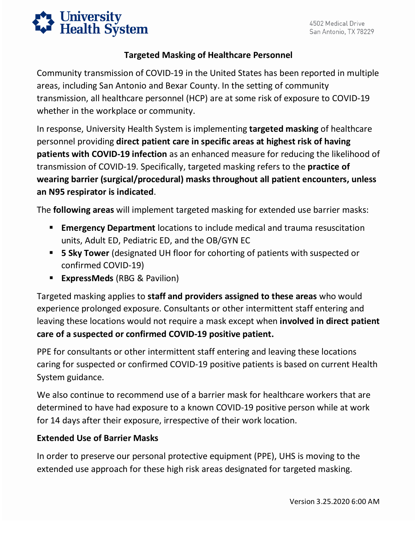

### **Targeted Masking of Healthcare Personnel**

 transmission, all healthcare personnel (HCP) are at some risk of exposure to COVID-19 Community transmission of COVID-19 in the United States has been reported in multiple areas, including San Antonio and Bexar County. In the setting of community whether in the workplace or community.

 personnel providing **direct patient care in specific areas at highest risk of having**  transmission of COVID-19. Specifically, targeted masking refers to the **practice of**  In response, University Health System is implementing **targeted masking** of healthcare **patients with COVID-19 infection** as an enhanced measure for reducing the likelihood of **wearing barrier (surgical/procedural) masks throughout all patient encounters, unless an N95 respirator is indicated**.

The **following areas** will implement targeted masking for extended use barrier masks:

- **Emergency Department** locations to include medical and trauma resuscitation units, Adult ED, Pediatric ED, and the OB/GYN EC
- **5 Sky Tower** (designated UH floor for cohorting of patients with suspected or confirmed COVID-19)
- **ExpressMeds** (RBG & Pavilion)

Targeted masking applies to **staff and providers assigned to these areas** who would experience prolonged exposure. Consultants or other intermittent staff entering and leaving these locations would not require a mask except when **involved in direct patient care of a suspected or confirmed COVID-19 positive patient.** 

 PPE for consultants or other intermittent staff entering and leaving these locations caring for suspected or confirmed COVID-19 positive patients is based on current Health System guidance.

 for 14 days after their exposure, irrespective of their work location. We also continue to recommend use of a barrier mask for healthcare workers that are determined to have had exposure to a known COVID-19 positive person while at work

#### **Extended Use of Barrier Masks**

In order to preserve our personal protective equipment (PPE), UHS is moving to the extended use approach for these high risk areas designated for targeted masking.